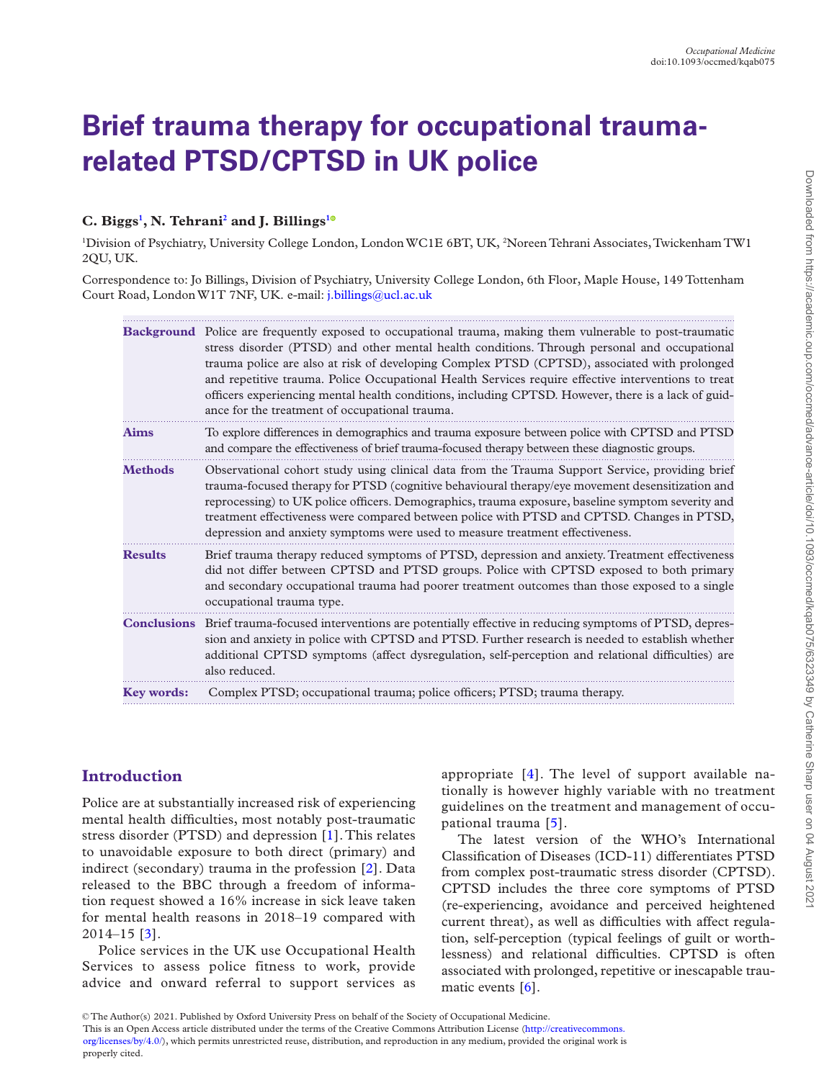# **Brief trauma therapy for occupational traumarelated PTSD/CPTSD in UK police**

## **C. Biggs[1](#page-0-0) , N. Tehran[i2](#page-0-1) and J. Billings[1](#page-0-0)**

<span id="page-0-1"></span><span id="page-0-0"></span>1 Division of Psychiatry, University College London, London WC1E 6BT, UK, 2 Noreen Tehrani Associates, Twickenham TW1 2QU, UK.

Correspondence to: Jo Billings, Division of Psychiatry, University College London, 6th Floor, Maple House, 149 Tottenham Court Road, London W1T 7NF, UK. e-mail: [j.billings@ucl.ac.uk](mailto:j.billings@ucl.ac.uk?subject=)

|                   | <b>Background</b> Police are frequently exposed to occupational trauma, making them vulnerable to post-traumatic<br>stress disorder (PTSD) and other mental health conditions. Through personal and occupational<br>trauma police are also at risk of developing Complex PTSD (CPTSD), associated with prolonged<br>and repetitive trauma. Police Occupational Health Services require effective interventions to treat<br>officers experiencing mental health conditions, including CPTSD. However, there is a lack of guid-<br>ance for the treatment of occupational trauma. |
|-------------------|---------------------------------------------------------------------------------------------------------------------------------------------------------------------------------------------------------------------------------------------------------------------------------------------------------------------------------------------------------------------------------------------------------------------------------------------------------------------------------------------------------------------------------------------------------------------------------|
| Aims              | To explore differences in demographics and trauma exposure between police with CPTSD and PTSD<br>and compare the effectiveness of brief trauma-focused therapy between these diagnostic groups.                                                                                                                                                                                                                                                                                                                                                                                 |
| <b>Methods</b>    | Observational cohort study using clinical data from the Trauma Support Service, providing brief<br>trauma-focused therapy for PTSD (cognitive behavioural therapy/eye movement desensitization and<br>reprocessing) to UK police officers. Demographics, trauma exposure, baseline symptom severity and<br>treatment effectiveness were compared between police with PTSD and CPTSD. Changes in PTSD,<br>depression and anxiety symptoms were used to measure treatment effectiveness.                                                                                          |
| <b>Results</b>    | Brief trauma therapy reduced symptoms of PTSD, depression and anxiety. Treatment effectiveness<br>did not differ between CPTSD and PTSD groups. Police with CPTSD exposed to both primary<br>and secondary occupational trauma had poorer treatment outcomes than those exposed to a single<br>occupational trauma type.                                                                                                                                                                                                                                                        |
|                   | <b>Conclusions</b> Brief trauma-focused interventions are potentially effective in reducing symptoms of PTSD, depres-<br>sion and anxiety in police with CPTSD and PTSD. Further research is needed to establish whether<br>additional CPTSD symptoms (affect dysregulation, self-perception and relational difficulties) are<br>also reduced.                                                                                                                                                                                                                                  |
| <b>Key words:</b> | Complex PTSD; occupational trauma; police officers; PTSD; trauma therapy.                                                                                                                                                                                                                                                                                                                                                                                                                                                                                                       |

## **Introduction**

Police are at substantially increased risk of experiencing mental health difficulties, most notably post-traumatic stress disorder (PTSD) and depression [[1\]](#page-7-0). This relates to unavoidable exposure to both direct (primary) and indirect (secondary) trauma in the profession [[2](#page-7-1)]. Data released to the BBC through a freedom of information request showed a 16% increase in sick leave taken for mental health reasons in 2018–19 compared with 2014–15 [[3](#page-7-2)].

Police services in the UK use Occupational Health Services to assess police fitness to work, provide advice and onward referral to support services as appropriate [\[4](#page-7-3)]. The level of support available nationally is however highly variable with no treatment guidelines on the treatment and management of occupational trauma [[5\]](#page-7-4).

The latest version of the WHO's International Classification of Diseases (ICD-11) differentiates PTSD from complex post-traumatic stress disorder (CPTSD). CPTSD includes the three core symptoms of PTSD (re-experiencing, avoidance and perceived heightened current threat), as well as difficulties with affect regulation, self-perception (typical feelings of guilt or worthlessness) and relational difficulties. CPTSD is often associated with prolonged, repetitive or inescapable traumatic events [[6](#page-7-5)].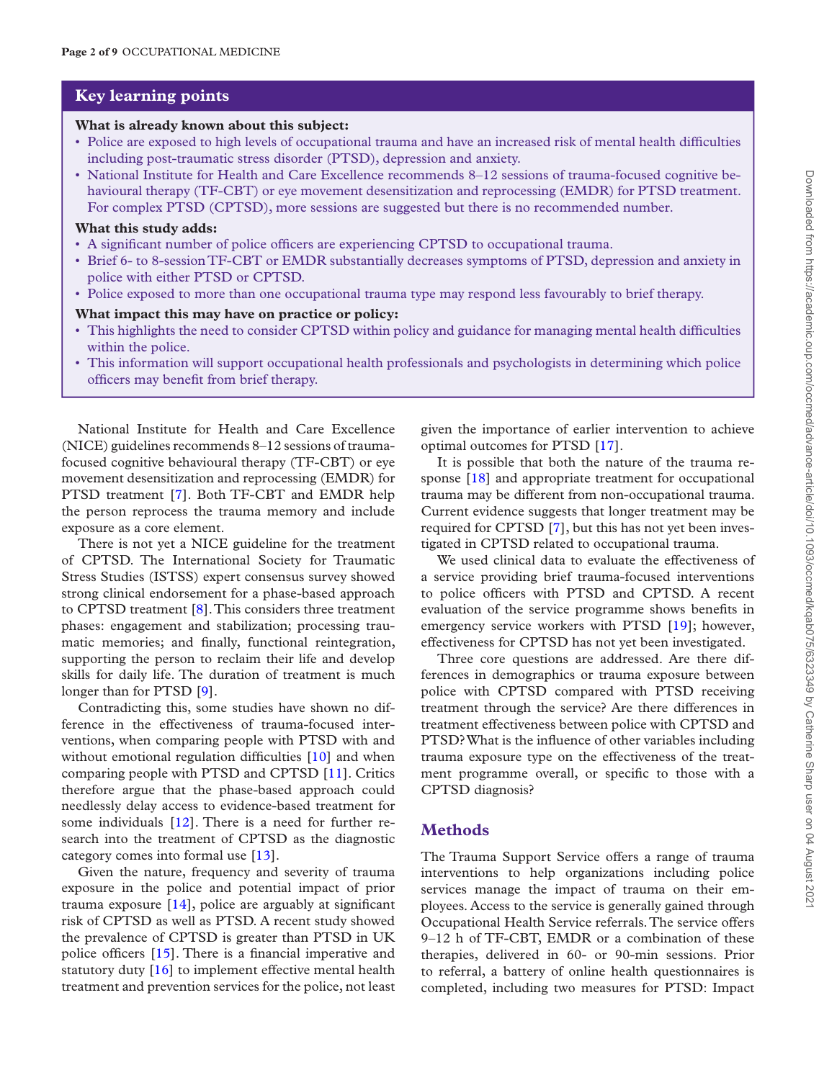### **Key learning points**

#### **What is already known about this subject:**

- Police are exposed to high levels of occupational trauma and have an increased risk of mental health difficulties including post-traumatic stress disorder (PTSD), depression and anxiety.
- National Institute for Health and Care Excellence recommends 8–12 sessions of trauma-focused cognitive behavioural therapy (TF-CBT) or eye movement desensitization and reprocessing (EMDR) for PTSD treatment. For complex PTSD (CPTSD), more sessions are suggested but there is no recommended number.

#### **What this study adds:**

- A significant number of police officers are experiencing CPTSD to occupational trauma.
- Brief 6- to 8-session TF-CBT or EMDR substantially decreases symptoms of PTSD, depression and anxiety in police with either PTSD or CPTSD.
- Police exposed to more than one occupational trauma type may respond less favourably to brief therapy.

#### **What impact this may have on practice or policy:**

- This highlights the need to consider CPTSD within policy and guidance for managing mental health difficulties within the police.
- This information will support occupational health professionals and psychologists in determining which police officers may benefit from brief therapy.

National Institute for Health and Care Excellence (NICE) guidelines recommends 8–12 sessions of traumafocused cognitive behavioural therapy (TF-CBT) or eye movement desensitization and reprocessing (EMDR) for PTSD treatment [\[7\]](#page-7-6). Both TF-CBT and EMDR help the person reprocess the trauma memory and include exposure as a core element.

There is not yet a NICE guideline for the treatment of CPTSD. The International Society for Traumatic Stress Studies (ISTSS) expert consensus survey showed strong clinical endorsement for a phase-based approach to CPTSD treatment [\[8\]](#page-7-7). This considers three treatment phases: engagement and stabilization; processing traumatic memories; and finally, functional reintegration, supporting the person to reclaim their life and develop skills for daily life. The duration of treatment is much longer than for PTSD [\[9\]](#page-7-8).

Contradicting this, some studies have shown no difference in the effectiveness of trauma-focused interventions, when comparing people with PTSD with and without emotional regulation difficulties [[10](#page-7-9)] and when comparing people with PTSD and CPTSD [[11\]](#page-7-10). Critics therefore argue that the phase-based approach could needlessly delay access to evidence-based treatment for some individuals [[12\]](#page-7-11). There is a need for further research into the treatment of CPTSD as the diagnostic category comes into formal use [\[13](#page-7-12)].

Given the nature, frequency and severity of trauma exposure in the police and potential impact of prior trauma exposure [[14\]](#page-7-13), police are arguably at significant risk of CPTSD as well as PTSD. A recent study showed the prevalence of CPTSD is greater than PTSD in UK police officers [[15\]](#page-7-14). There is a financial imperative and statutory duty [[16\]](#page-7-15) to implement effective mental health treatment and prevention services for the police, not least

given the importance of earlier intervention to achieve optimal outcomes for PTSD [[17\]](#page-7-16).

It is possible that both the nature of the trauma re-sponse [[18\]](#page-7-17) and appropriate treatment for occupational trauma may be different from non-occupational trauma. Current evidence suggests that longer treatment may be required for CPTSD [[7](#page-7-6)], but this has not yet been investigated in CPTSD related to occupational trauma.

We used clinical data to evaluate the effectiveness of a service providing brief trauma-focused interventions to police officers with PTSD and CPTSD. A recent evaluation of the service programme shows benefits in emergency service workers with PTSD [\[19](#page-7-18)]; however, effectiveness for CPTSD has not yet been investigated.

Three core questions are addressed. Are there differences in demographics or trauma exposure between police with CPTSD compared with PTSD receiving treatment through the service? Are there differences in treatment effectiveness between police with CPTSD and PTSD? What is the influence of other variables including trauma exposure type on the effectiveness of the treatment programme overall, or specific to those with a CPTSD diagnosis?

#### **Methods**

The Trauma Support Service offers a range of trauma interventions to help organizations including police services manage the impact of trauma on their employees. Access to the service is generally gained through Occupational Health Service referrals. The service offers 9–12 h of TF-CBT, EMDR or a combination of these therapies, delivered in 60- or 90-min sessions. Prior to referral, a battery of online health questionnaires is completed, including two measures for PTSD: Impact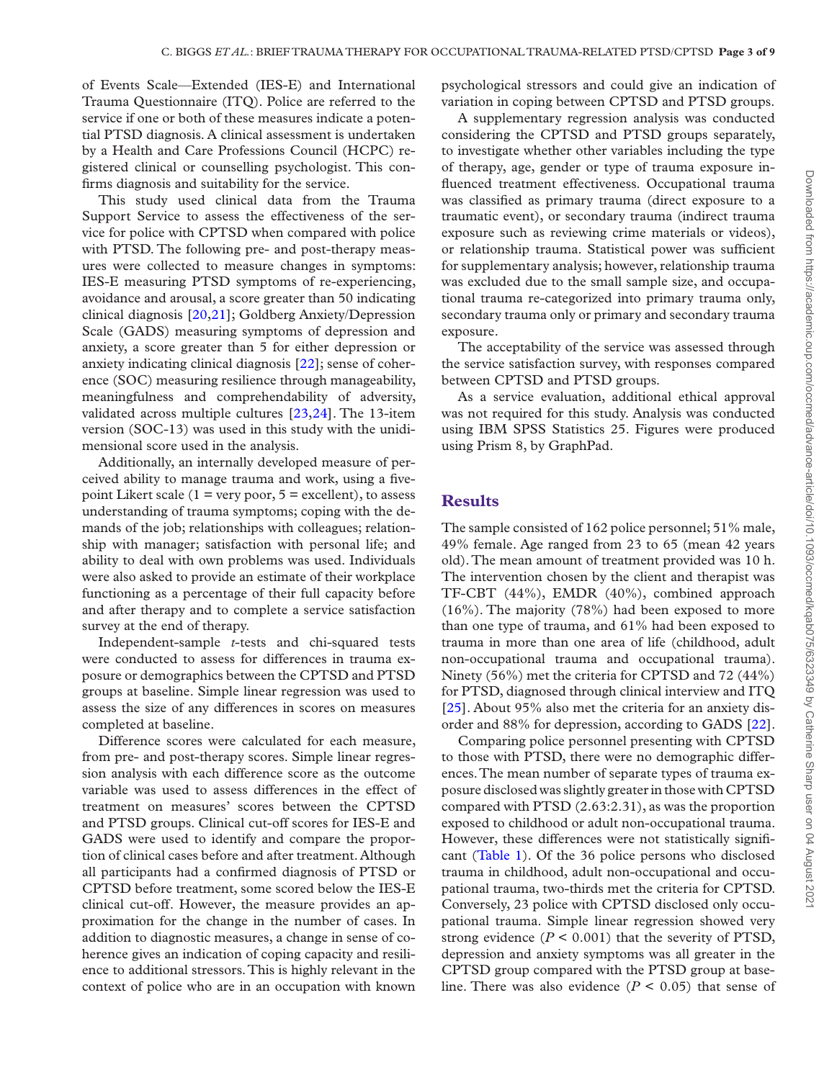of Events Scale—Extended (IES-E) and International Trauma Questionnaire (ITQ). Police are referred to the service if one or both of these measures indicate a potential PTSD diagnosis. A clinical assessment is undertaken by a Health and Care Professions Council (HCPC) registered clinical or counselling psychologist. This confirms diagnosis and suitability for the service.

This study used clinical data from the Trauma Support Service to assess the effectiveness of the service for police with CPTSD when compared with police with PTSD. The following pre- and post-therapy measures were collected to measure changes in symptoms: IES-E measuring PTSD symptoms of re-experiencing, avoidance and arousal, a score greater than 50 indicating clinical diagnosis [[20,](#page-7-19)[21\]](#page-7-20); Goldberg Anxiety/Depression Scale (GADS) measuring symptoms of depression and anxiety, a score greater than 5 for either depression or anxiety indicating clinical diagnosis [\[22](#page-7-21)]; sense of coherence (SOC) measuring resilience through manageability, meaningfulness and comprehendability of adversity, validated across multiple cultures [[23,](#page-8-0)[24\]](#page-8-1). The 13-item version (SOC-13) was used in this study with the unidimensional score used in the analysis.

Additionally, an internally developed measure of perceived ability to manage trauma and work, using a fivepoint Likert scale ( $1 = \text{very poor}, 5 = \text{excellent}$ ), to assess understanding of trauma symptoms; coping with the demands of the job; relationships with colleagues; relationship with manager; satisfaction with personal life; and ability to deal with own problems was used. Individuals were also asked to provide an estimate of their workplace functioning as a percentage of their full capacity before and after therapy and to complete a service satisfaction survey at the end of therapy.

Independent-sample *t*-tests and chi-squared tests were conducted to assess for differences in trauma exposure or demographics between the CPTSD and PTSD groups at baseline. Simple linear regression was used to assess the size of any differences in scores on measures completed at baseline.

Difference scores were calculated for each measure, from pre- and post-therapy scores. Simple linear regression analysis with each difference score as the outcome variable was used to assess differences in the effect of treatment on measures' scores between the CPTSD and PTSD groups. Clinical cut-off scores for IES-E and GADS were used to identify and compare the proportion of clinical cases before and after treatment. Although all participants had a confirmed diagnosis of PTSD or CPTSD before treatment, some scored below the IES-E clinical cut-off. However, the measure provides an approximation for the change in the number of cases. In addition to diagnostic measures, a change in sense of coherence gives an indication of coping capacity and resilience to additional stressors. This is highly relevant in the context of police who are in an occupation with known

psychological stressors and could give an indication of variation in coping between CPTSD and PTSD groups.

A supplementary regression analysis was conducted considering the CPTSD and PTSD groups separately, to investigate whether other variables including the type of therapy, age, gender or type of trauma exposure influenced treatment effectiveness. Occupational trauma was classified as primary trauma (direct exposure to a traumatic event), or secondary trauma (indirect trauma exposure such as reviewing crime materials or videos), or relationship trauma. Statistical power was sufficient for supplementary analysis; however, relationship trauma was excluded due to the small sample size, and occupational trauma re-categorized into primary trauma only, secondary trauma only or primary and secondary trauma exposure.

The acceptability of the service was assessed through the service satisfaction survey, with responses compared between CPTSD and PTSD groups.

As a service evaluation, additional ethical approval was not required for this study. Analysis was conducted using IBM SPSS Statistics 25. Figures were produced using Prism 8, by GraphPad.

## **Results**

The sample consisted of 162 police personnel; 51% male, 49% female. Age ranged from 23 to 65 (mean 42 years old). The mean amount of treatment provided was 10 h. The intervention chosen by the client and therapist was TF-CBT (44%), EMDR (40%), combined approach (16%). The majority (78%) had been exposed to more than one type of trauma, and 61% had been exposed to trauma in more than one area of life (childhood, adult non-occupational trauma and occupational trauma). Ninety (56%) met the criteria for CPTSD and 72 (44%) for PTSD, diagnosed through clinical interview and ITQ [[25\]](#page-8-2). About 95% also met the criteria for an anxiety disorder and 88% for depression, according to GADS [[22](#page-7-21)].

Comparing police personnel presenting with CPTSD to those with PTSD, there were no demographic differences. The mean number of separate types of trauma exposure disclosed was slightly greater in those with CPTSD compared with PTSD (2.63:2.31), as was the proportion exposed to childhood or adult non-occupational trauma. However, these differences were not statistically significant [\(Table 1](#page-3-0)). Of the 36 police persons who disclosed trauma in childhood, adult non-occupational and occupational trauma, two-thirds met the criteria for CPTSD. Conversely, 23 police with CPTSD disclosed only occupational trauma. Simple linear regression showed very strong evidence  $(P < 0.001)$  that the severity of PTSD, depression and anxiety symptoms was all greater in the CPTSD group compared with the PTSD group at baseline. There was also evidence  $(P < 0.05)$  that sense of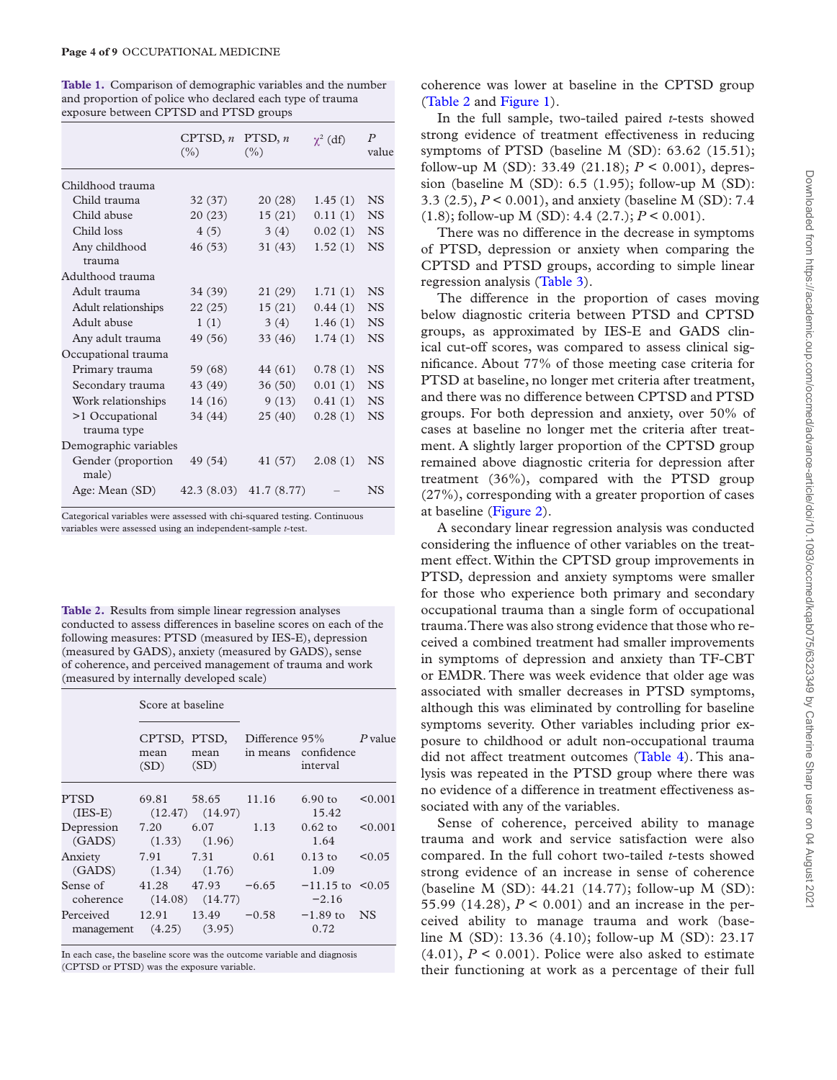<span id="page-3-0"></span>**Table 1.** Comparison of demographic variables and the number and proportion of police who declared each type of trauma exposure between CPTSD and PTSD groups

|                                | CPTSD, $n$<br>$(\% )$ | PTSD, $n$<br>$($ %) | $\chi^2$ (df) | $\boldsymbol{P}$<br>value |
|--------------------------------|-----------------------|---------------------|---------------|---------------------------|
| Childhood trauma               |                       |                     |               |                           |
| Child trauma                   | 32(37)                | 20(28)              | 1.45(1)       | <b>NS</b>                 |
| Child abuse                    | 20(23)                | 15(21)              | 0.11(1)       | <b>NS</b>                 |
| Child loss                     | 4(5)                  | 3(4)                | 0.02(1)       | <b>NS</b>                 |
| Any childhood<br>trauma        | 46 (53)               | 31(43)              | 1.52(1)       | <b>NS</b>                 |
| Adulthood trauma               |                       |                     |               |                           |
| Adult trauma                   | 34 (39)               | 21(29)              | 1.71(1)       | <b>NS</b>                 |
| Adult relationships            | 22(25)                | 15(21)              | 0.44(1)       | <b>NS</b>                 |
| Adult abuse                    | 1(1)                  | 3(4)                | 1.46(1)       | <b>NS</b>                 |
| Any adult trauma               | 49 (56)               | 33 (46)             | 1.74(1)       | <b>NS</b>                 |
| Occupational trauma            |                       |                     |               |                           |
| Primary trauma                 | 59 (68)               | 44 (61)             | 0.78(1)       | <b>NS</b>                 |
| Secondary trauma               | 43 (49)               | 36(50)              | 0.01(1)       | <b>NS</b>                 |
| Work relationships             | 14(16)                | 9(13)               | 0.41(1)       | <b>NS</b>                 |
| >1 Occupational<br>trauma type | 34 (44)               | 25 (40)             | 0.28(1)       | <b>NS</b>                 |
| Demographic variables          |                       |                     |               |                           |
| Gender (proportion<br>male)    | 49 (54)               | 41 (57)             | 2.08(1)       | <b>NS</b>                 |
| Age: Mean (SD)                 | 42.3(8.03)            | 41.7 (8.77)         |               | <b>NS</b>                 |

Categorical variables were assessed with chi-squared testing. Continuous variables were assessed using an independent-sample *t*-test.

<span id="page-3-1"></span>**Table 2.** Results from simple linear regression analyses conducted to assess differences in baseline scores on each of the following measures: PTSD (measured by IES-E), depression (measured by GADS), anxiety (measured by GADS), sense of coherence, and perceived management of trauma and work (measured by internally developed scale)

Score at baseline

|                           | OCUIC al Daschine                       |                                    |         |                                                              |         |
|---------------------------|-----------------------------------------|------------------------------------|---------|--------------------------------------------------------------|---------|
|                           | CPTSD, PTSD,<br>mean<br>(SD)            | mean<br>(SD)                       |         | Difference $95\%$ P value<br>in means confidence<br>interval |         |
| PTSD<br>$(IES-E)$         |                                         | 69.81 58.65<br>$(12.47)$ $(14.97)$ | 11.16   | $6.90$ to<br>15.42                                           | < 0.001 |
| Depression 7.20<br>(GADS) | $(1.33)$ $(1.96)$                       | 6.07                               | 1.13    | $0.62 \text{ to}$<br>1.64                                    | < 0.001 |
| Anxiety                   | 7.91 7.31<br>$(GADS)$ $(1.34)$ $(1.76)$ |                                    | 0.61    | $0.13 \text{ to}$<br>1.09                                    | < 0.05  |
| Sense of                  | 41.28<br>coherence (14.08) (14.77)      | 47.93                              | $-6.65$ | $-11.15$ to $\leq 0.05$<br>$-2.16$                           |         |
| Perceived                 | management $(4.25)$ $(3.95)$            | $12.91 \qquad 13.49 \qquad -0.58$  |         | $-1.89$ to NS<br>0.72                                        |         |

In each case, the baseline score was the outcome variable and diagnosis (CPTSD or PTSD) was the exposure variable.

coherence was lower at baseline in the CPTSD group ([Table 2](#page-3-1) and [Figure 1\)](#page-4-0).

In the full sample, two-tailed paired *t*-tests showed strong evidence of treatment effectiveness in reducing symptoms of PTSD (baseline M (SD): 63.62 (15.51); follow-up M (SD): 33.49 (21.18); *P* < 0.001), depression (baseline M (SD): 6.5 (1.95); follow-up M (SD): 3.3 (2.5), *P* < 0.001), and anxiety (baseline M (SD): 7.4 (1.8); follow-up M (SD): 4.4 (2.7.);  $P < 0.001$ ).

There was no difference in the decrease in symptoms of PTSD, depression or anxiety when comparing the CPTSD and PTSD groups, according to simple linear regression analysis ([Table 3](#page-4-1)).

The difference in the proportion of cases moving below diagnostic criteria between PTSD and CPTSD groups, as approximated by IES-E and GADS clinical cut-off scores, was compared to assess clinical significance. About 77% of those meeting case criteria for PTSD at baseline, no longer met criteria after treatment, and there was no difference between CPTSD and PTSD groups. For both depression and anxiety, over 50% of cases at baseline no longer met the criteria after treatment. A slightly larger proportion of the CPTSD group remained above diagnostic criteria for depression after treatment (36%), compared with the PTSD group (27%), corresponding with a greater proportion of cases at baseline [\(Figure 2](#page-5-0)).

A secondary linear regression analysis was conducted considering the influence of other variables on the treatment effect. Within the CPTSD group improvements in PTSD, depression and anxiety symptoms were smaller for those who experience both primary and secondary occupational trauma than a single form of occupational trauma. There was also strong evidence that those who received a combined treatment had smaller improvements in symptoms of depression and anxiety than TF-CBT or EMDR. There was week evidence that older age was associated with smaller decreases in PTSD symptoms, although this was eliminated by controlling for baseline symptoms severity. Other variables including prior exposure to childhood or adult non-occupational trauma did not affect treatment outcomes [\(Table 4\)](#page-6-0). This analysis was repeated in the PTSD group where there was no evidence of a difference in treatment effectiveness associated with any of the variables.

Sense of coherence, perceived ability to manage trauma and work and service satisfaction were also compared. In the full cohort two-tailed *t*-tests showed strong evidence of an increase in sense of coherence (baseline M (SD): 44.21 (14.77); follow-up M (SD): 55.99 (14.28),  $P < 0.001$ ) and an increase in the perceived ability to manage trauma and work (baseline M (SD): 13.36 (4.10); follow-up M (SD): 23.17  $(4.01)$ ,  $P < 0.001$ ). Police were also asked to estimate their functioning at work as a percentage of their full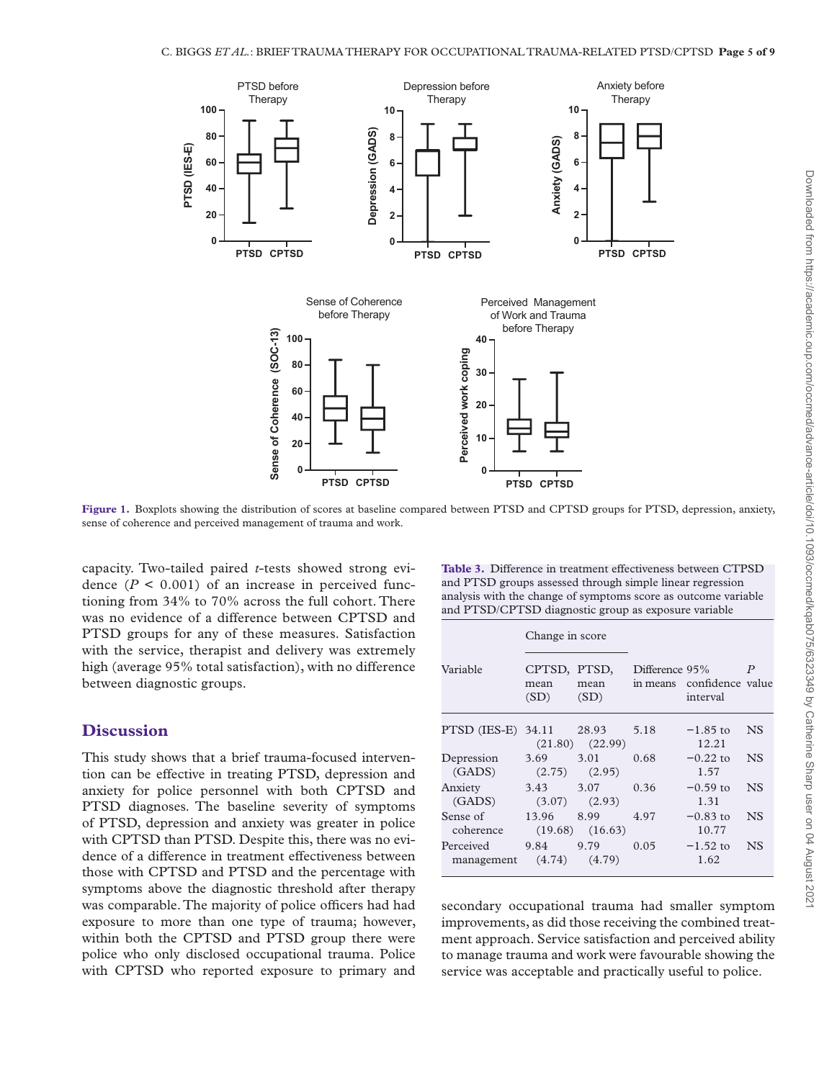

**Figure 1.** Boxplots showing the distribution of scores at baseline compared between PTSD and CPTSD groups for PTSD, depression, anxiety, sense of coherence and perceived management of trauma and work.

capacity. Two-tailed paired *t*-tests showed strong evidence  $(P < 0.001)$  of an increase in perceived functioning from 34% to 70% across the full cohort. There was no evidence of a difference between CPTSD and PTSD groups for any of these measures. Satisfaction with the service, therapist and delivery was extremely high (average 95% total satisfaction), with no difference between diagnostic groups.

## **Discussion**

This study shows that a brief trauma-focused intervention can be effective in treating PTSD, depression and anxiety for police personnel with both CPTSD and PTSD diagnoses. The baseline severity of symptoms of PTSD, depression and anxiety was greater in police with CPTSD than PTSD. Despite this, there was no evidence of a difference in treatment effectiveness between those with CPTSD and PTSD and the percentage with symptoms above the diagnostic threshold after therapy was comparable. The majority of police officers had had exposure to more than one type of trauma; however, within both the CPTSD and PTSD group there were police who only disclosed occupational trauma. Police with CPTSD who reported exposure to primary and

<span id="page-4-1"></span><span id="page-4-0"></span>**Table 3.** Difference in treatment effectiveness between CTPSD and PTSD groups assessed through simple linear regression analysis with the change of symptoms score as outcome variable and PTSD/CPTSD diagnostic group as exposure variable

|                          | Change in score              |                             |                            |                              |                  |
|--------------------------|------------------------------|-----------------------------|----------------------------|------------------------------|------------------|
| Variable                 | CPTSD, PTSD,<br>mean<br>(SD) | mean<br>(SD)                | Difference 95%<br>in means | confidence value<br>interval | $\boldsymbol{P}$ |
| PTSD (IES-E) 34.11 28.93 |                              | $(21.80)$ $(22.99)$         | 5.18                       | $-1.85$ to<br>12.21          | <b>NS</b>        |
| Depression<br>(GADS)     | 3.69<br>(2.75)               | 3.01<br>(2.95)              | 0.68                       | $-0.22$ to<br>1.57           | <b>NS</b>        |
| Anxiety<br>(GADS)        | 3.43<br>(3.07)               | 3.07<br>(2.93)              | 0.36                       | $-0.59$ to<br>1.31           | <b>NS</b>        |
| Sense of<br>coherence    | 13.96                        | 8.99<br>$(19.68)$ $(16.63)$ | 4.97                       | $-0.83$ to<br>10.77          | <b>NS</b>        |
| Perceived<br>management  | 9.84<br>(4.74)               | 9.79<br>(4.79)              | 0.05                       | $-1.52$ to<br>1.62           | <b>NS</b>        |

secondary occupational trauma had smaller symptom improvements, as did those receiving the combined treatment approach. Service satisfaction and perceived ability to manage trauma and work were favourable showing the service was acceptable and practically useful to police.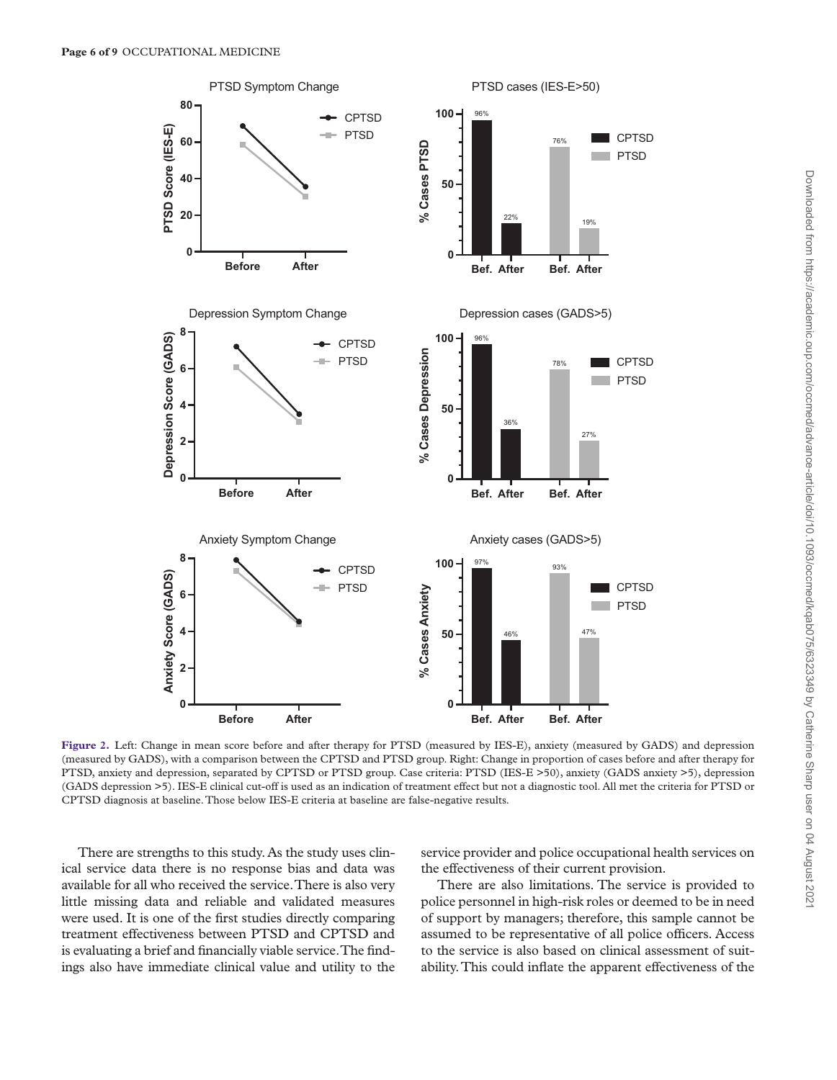

<span id="page-5-0"></span>**Figure 2.** Left: Change in mean score before and after therapy for PTSD (measured by IES-E), anxiety (measured by GADS) and depression (measured by GADS), with a comparison between the CPTSD and PTSD group. Right: Change in proportion of cases before and after therapy for PTSD, anxiety and depression, separated by CPTSD or PTSD group. Case criteria: PTSD (IES-E >50), anxiety (GADS anxiety >5), depression (GADS depression >5). IES-E clinical cut-off is used as an indication of treatment effect but not a diagnostic tool. All met the criteria for PTSD or CPTSD diagnosis at baseline. Those below IES-E criteria at baseline are false-negative results.

There are strengths to this study. As the study uses clinical service data there is no response bias and data was available for all who received the service. There is also very little missing data and reliable and validated measures were used. It is one of the first studies directly comparing treatment effectiveness between PTSD and CPTSD and is evaluating a brief and financially viable service. The findings also have immediate clinical value and utility to the

service provider and police occupational health services on the effectiveness of their current provision.

There are also limitations. The service is provided to police personnel in high-risk roles or deemed to be in need of support by managers; therefore, this sample cannot be assumed to be representative of all police officers. Access to the service is also based on clinical assessment of suitability. This could inflate the apparent effectiveness of the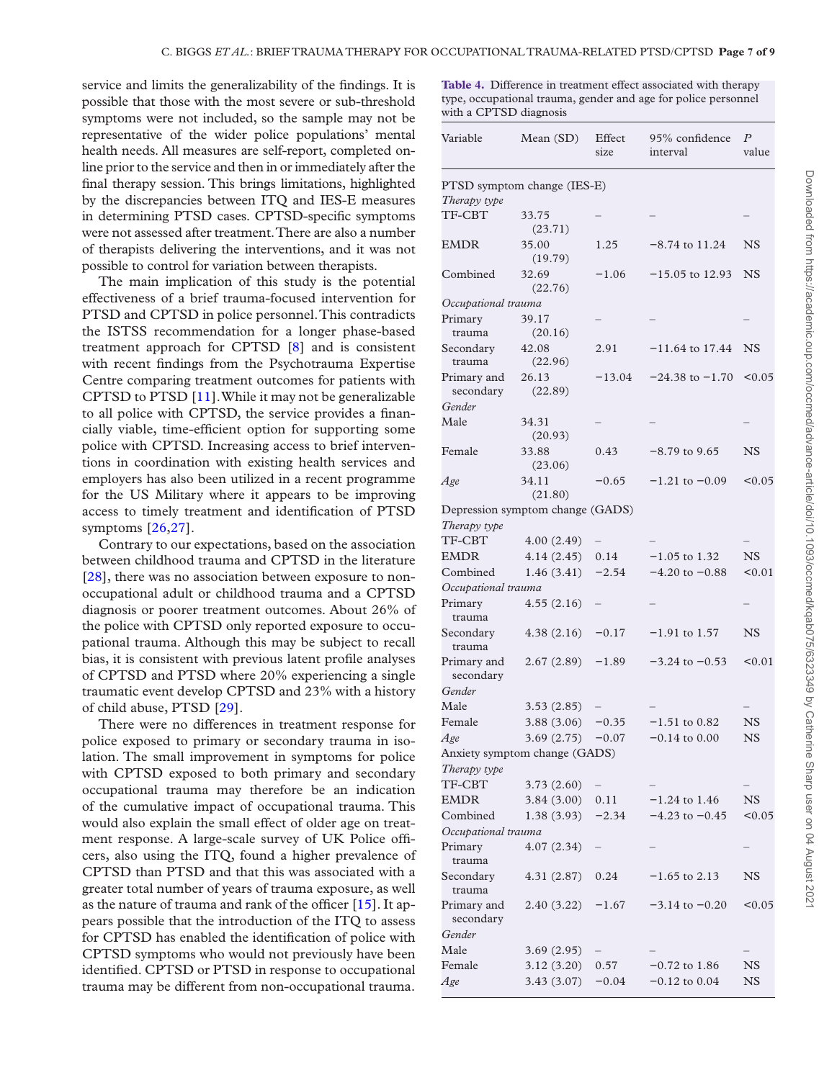service and limits the generalizability of the findings. It is possible that those with the most severe or sub-threshold symptoms were not included, so the sample may not be representative of the wider police populations' mental health needs. All measures are self-report, completed online prior to the service and then in or immediately after the final therapy session. This brings limitations, highlighted by the discrepancies between ITQ and IES-E measures in determining PTSD cases. CPTSD-specific symptoms were not assessed after treatment. There are also a number of therapists delivering the interventions, and it was not possible to control for variation between therapists.

The main implication of this study is the potential effectiveness of a brief trauma-focused intervention for PTSD and CPTSD in police personnel. This contradicts the ISTSS recommendation for a longer phase-based treatment approach for CPTSD [[8](#page-7-7)] and is consistent with recent findings from the Psychotrauma Expertise Centre comparing treatment outcomes for patients with CPTSD to PTSD [[11\]](#page-7-10). While it may not be generalizable to all police with CPTSD, the service provides a financially viable, time-efficient option for supporting some police with CPTSD. Increasing access to brief interventions in coordination with existing health services and employers has also been utilized in a recent programme for the US Military where it appears to be improving access to timely treatment and identification of PTSD symptoms [[26,](#page-8-3)[27\]](#page-8-4).

Contrary to our expectations, based on the association between childhood trauma and CPTSD in the literature [[28\]](#page-8-5), there was no association between exposure to nonoccupational adult or childhood trauma and a CPTSD diagnosis or poorer treatment outcomes. About 26% of the police with CPTSD only reported exposure to occupational trauma. Although this may be subject to recall bias, it is consistent with previous latent profile analyses of CPTSD and PTSD where 20% experiencing a single traumatic event develop CPTSD and 23% with a history of child abuse, PTSD [\[29](#page-8-6)].

There were no differences in treatment response for police exposed to primary or secondary trauma in isolation. The small improvement in symptoms for police with CPTSD exposed to both primary and secondary occupational trauma may therefore be an indication of the cumulative impact of occupational trauma. This would also explain the small effect of older age on treatment response. A large-scale survey of UK Police officers, also using the ITQ, found a higher prevalence of CPTSD than PTSD and that this was associated with a greater total number of years of trauma exposure, as well as the nature of trauma and rank of the officer [\[15](#page-7-14)]. It appears possible that the introduction of the ITQ to assess for CPTSD has enabled the identification of police with CPTSD symptoms who would not previously have been identified. CPTSD or PTSD in response to occupational trauma may be different from non-occupational trauma.

<span id="page-6-0"></span>**Table 4.** Difference in treatment effect associated with therapy type, occupational trauma, gender and age for police personnel with a CPTSD diagnosis

| Variable                           | Mean (SD)                        | Effect<br>size | 95% confidence<br>interval | $\boldsymbol{P}$<br>value |
|------------------------------------|----------------------------------|----------------|----------------------------|---------------------------|
|                                    | PTSD symptom change (IES-E)      |                |                            |                           |
| Therapy type                       |                                  |                |                            |                           |
| TF-CBT                             | 33.75<br>(23.71)                 |                |                            |                           |
| <b>EMDR</b>                        | 35.00<br>(19.79)                 | 1.25           | $-8.74$ to 11.24           | $_{\rm NS}$               |
| Combined                           | 32.69<br>(22.76)                 | $-1.06$        | $-15.05$ to 12.93          | <b>NS</b>                 |
| Occupational trauma                |                                  |                |                            |                           |
| Primary                            | 39.17                            |                |                            |                           |
| trauma                             | (20.16)                          |                |                            |                           |
| Secondary<br>trauma                | 42.08<br>(22.96)                 | 2.91           | $-11.64$ to 17.44          | NS                        |
| Primary and<br>secondary           | 26.13<br>(22.89)                 | $-13.04$       | $-24.38$ to $-1.70$        | < 0.05                    |
| Gender                             |                                  |                |                            |                           |
| Male                               | 34.31<br>(20.93)                 |                |                            |                           |
| Female                             | 33.88<br>(23.06)                 | 0.43           | $-8.79$ to 9.65            | <b>NS</b>                 |
| Age                                | 34.11<br>(21.80)                 | $-0.65$        | $-1.21$ to $-0.09$         | < 0.05                    |
|                                    | Depression symptom change (GADS) |                |                            |                           |
| Therapy type                       |                                  |                |                            |                           |
| TF-CBT                             | 4.00(2.49)                       |                |                            |                           |
| <b>EMDR</b>                        | 4.14(2.45)                       | 0.14           | $-1.05$ to 1.32            | NS                        |
| Combined                           | 1.46(3.41)                       | $-2.54$        | $-4.20$ to $-0.88$         | < 0.01                    |
| Occupational trauma                |                                  |                |                            |                           |
| Primary<br>trauma                  | 4.55(2.16)                       |                |                            |                           |
| Secondary<br>trauma                | 4.38(2.16)                       | $-0.17$        | $-1.91$ to 1.57            | <b>NS</b>                 |
| Primary and<br>secondary<br>Gender | 2.67(2.89)                       | $-1.89$        | $-3.24$ to $-0.53$         | < 0.01                    |
| Male                               | 3.53(2.85)                       |                |                            |                           |
| Female                             | 3.88(3.06)                       | $-0.35$        | $-1.51$ to 0.82            | <b>NS</b>                 |
| Age                                | 3.69(2.75)                       | $-0.07$        | $-0.14$ to $0.00$          | <b>NS</b>                 |
|                                    | Anxiety symptom change (GADS)    |                |                            |                           |
| Therapy type                       |                                  |                |                            |                           |
| TF-CBT                             | 3.73(2.60)                       |                |                            |                           |
| EMDR                               | 3.84(3.00)                       | 0.11           | $-1.24$ to 1.46            | NS                        |
| Combined                           | 1.38(3.93)                       | $-2.34$        | $-4.23$ to $-0.45$         | < 0.05                    |
| Occupational trauma                |                                  |                |                            |                           |
| Primary<br>trauma                  | 4.07(2.34)                       |                |                            |                           |
| Secondary<br>trauma                | 4.31(2.87)                       | 0.24           | $-1.65$ to 2.13            | $_{\rm NS}$               |
| Primary and<br>secondary           | 2.40(3.22)                       | $-1.67$        | $-3.14$ to $-0.20$         | < 0.05                    |
| Gender                             |                                  |                |                            |                           |
| Male                               | 3.69(2.95)                       |                |                            |                           |
| Female                             | 3.12(3.20)                       | 0.57           | $-0.72$ to 1.86            | $_{\rm NS}$               |
| Age                                | 3.43(3.07)                       | $-0.04$        | $-0.12$ to $0.04$          | NS                        |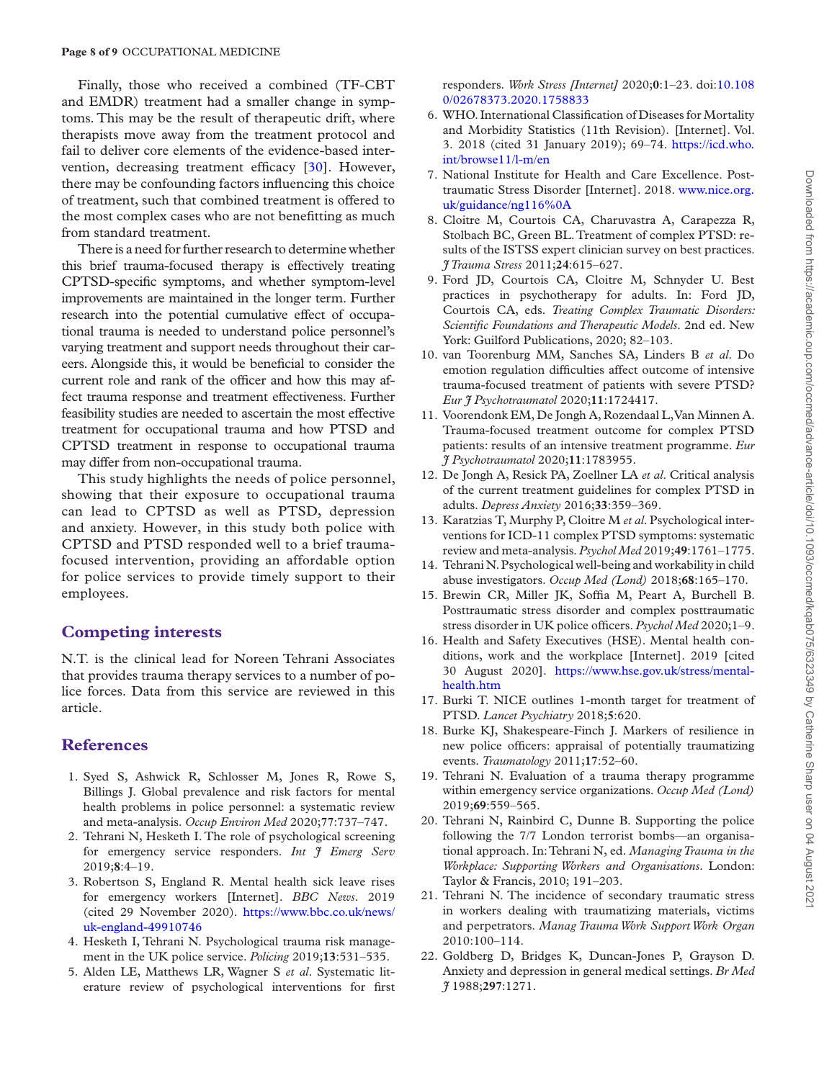Finally, those who received a combined (TF-CBT and EMDR) treatment had a smaller change in symptoms. This may be the result of therapeutic drift, where therapists move away from the treatment protocol and fail to deliver core elements of the evidence-based intervention, decreasing treatment efficacy [\[30](#page-8-7)]. However, there may be confounding factors influencing this choice of treatment, such that combined treatment is offered to the most complex cases who are not benefitting as much from standard treatment.

There is a need for further research to determine whether this brief trauma-focused therapy is effectively treating CPTSD-specific symptoms, and whether symptom-level improvements are maintained in the longer term. Further research into the potential cumulative effect of occupational trauma is needed to understand police personnel's varying treatment and support needs throughout their careers. Alongside this, it would be beneficial to consider the current role and rank of the officer and how this may affect trauma response and treatment effectiveness. Further feasibility studies are needed to ascertain the most effective treatment for occupational trauma and how PTSD and CPTSD treatment in response to occupational trauma may differ from non-occupational trauma.

This study highlights the needs of police personnel, showing that their exposure to occupational trauma can lead to CPTSD as well as PTSD, depression and anxiety. However, in this study both police with CPTSD and PTSD responded well to a brief traumafocused intervention, providing an affordable option for police services to provide timely support to their employees.

## **Competing interests**

N.T. is the clinical lead for Noreen Tehrani Associates that provides trauma therapy services to a number of police forces. Data from this service are reviewed in this article.

## **References**

- <span id="page-7-0"></span>1. Syed S, Ashwick R, Schlosser M, Jones R, Rowe S, Billings J. Global prevalence and risk factors for mental health problems in police personnel: a systematic review and meta-analysis. *Occup Environ Med* 2020;**77**:737–747.
- <span id="page-7-1"></span>2. Tehrani N, Hesketh I. The role of psychological screening for emergency service responders. *Int J Emerg Serv* 2019;**8**:4–19.
- <span id="page-7-2"></span>3. Robertson S, England R. Mental health sick leave rises for emergency workers [Internet]. *BBC News*. 2019 (cited 29 November 2020). [https://www.bbc.co.uk/news/](https://www.bbc.co.uk/news/uk-england-49910746) [uk-england-49910746](https://www.bbc.co.uk/news/uk-england-49910746)
- <span id="page-7-3"></span>4. Hesketh I, Tehrani N. Psychological trauma risk management in the UK police service. *Policing* 2019;**13**:531–535.
- <span id="page-7-4"></span>5. Alden LE, Matthews LR, Wagner S *et al*. Systematic literature review of psychological interventions for first

responders. *Work Stress [Internet]* 2020;**0**:1–23. doi:[10.108](https://doi.org/10.1080/02678373.2020.1758833) [0/02678373.2020.1758833](https://doi.org/10.1080/02678373.2020.1758833)

- <span id="page-7-5"></span>6. WHO. International Classification of Diseases for Mortality and Morbidity Statistics (11th Revision). [Internet]. Vol. 3. 2018 (cited 31 January 2019); 69–74. [https://icd.who.](https://icd.who.int/browse11/l-m/en) [int/browse11/l-m/en](https://icd.who.int/browse11/l-m/en)
- <span id="page-7-6"></span>7. National Institute for Health and Care Excellence. Posttraumatic Stress Disorder [Internet]. 2018. [www.nice.org.](http://www.nice.org.uk/guidance/ng116%0A) [uk/guidance/ng116%0A](http://www.nice.org.uk/guidance/ng116%0A)
- <span id="page-7-7"></span>8. Cloitre M, Courtois CA, Charuvastra A, Carapezza R, Stolbach BC, Green BL. Treatment of complex PTSD: results of the ISTSS expert clinician survey on best practices. *J Trauma Stress* 2011;**24**:615–627.
- <span id="page-7-8"></span>9. Ford JD, Courtois CA, Cloitre M, Schnyder U. Best practices in psychotherapy for adults. In: Ford JD, Courtois CA, eds. *Treating Complex Traumatic Disorders: Scientific Foundations and Therapeutic Models*. 2nd ed. New York: Guilford Publications, 2020; 82–103.
- <span id="page-7-9"></span>10. van Toorenburg MM, Sanches SA, Linders B *et al*. Do emotion regulation difficulties affect outcome of intensive trauma-focused treatment of patients with severe PTSD? *Eur J Psychotraumatol* 2020;**11**:1724417.
- <span id="page-7-10"></span>11. Voorendonk EM, De Jongh A, Rozendaal L, Van Minnen A. Trauma-focused treatment outcome for complex PTSD patients: results of an intensive treatment programme. *Eur J Psychotraumatol* 2020;**11**:1783955.
- <span id="page-7-11"></span>12. De Jongh A, Resick PA, Zoellner LA *et al*. Critical analysis of the current treatment guidelines for complex PTSD in adults. *Depress Anxiety* 2016;**33**:359–369.
- <span id="page-7-12"></span>13. Karatzias T, Murphy P, Cloitre M *et al*. Psychological interventions for ICD-11 complex PTSD symptoms: systematic review and meta-analysis. *Psychol Med* 2019;**49**:1761–1775.
- <span id="page-7-13"></span>14. Tehrani N. Psychological well-being and workability in child abuse investigators. *Occup Med (Lond)* 2018;**68**:165–170.
- <span id="page-7-14"></span>15. Brewin CR, Miller JK, Soffia M, Peart A, Burchell B. Posttraumatic stress disorder and complex posttraumatic stress disorder in UK police officers. *Psychol Med* 2020;1–9.
- <span id="page-7-15"></span>16. Health and Safety Executives (HSE). Mental health conditions, work and the workplace [Internet]. 2019 [cited 30 August 2020]. [https://www.hse.gov.uk/stress/mental](https://www.hse.gov.uk/stress/mental-health.htm)[health.htm](https://www.hse.gov.uk/stress/mental-health.htm)
- <span id="page-7-16"></span>17. Burki T. NICE outlines 1-month target for treatment of PTSD. *Lancet Psychiatry* 2018;**5**:620.
- <span id="page-7-17"></span>18. Burke KJ, Shakespeare-Finch J. Markers of resilience in new police officers: appraisal of potentially traumatizing events. *Traumatology* 2011;**17**:52–60.
- <span id="page-7-18"></span>19. Tehrani N. Evaluation of a trauma therapy programme within emergency service organizations. *Occup Med (Lond)* 2019;**69**:559–565.
- <span id="page-7-19"></span>20. Tehrani N, Rainbird C, Dunne B. Supporting the police following the 7/7 London terrorist bombs—an organisational approach. In: Tehrani N, ed. *Managing Trauma in the Workplace: Supporting Workers and Organisations*. London: Taylor & Francis, 2010; 191–203.
- <span id="page-7-20"></span>21. Tehrani N. The incidence of secondary traumatic stress in workers dealing with traumatizing materials, victims and perpetrators. *Manag Trauma Work Support Work Organ* 2010:100–114.
- <span id="page-7-21"></span>22. Goldberg D, Bridges K, Duncan-Jones P, Grayson D. Anxiety and depression in general medical settings. *Br Med J* 1988;**297**:1271.